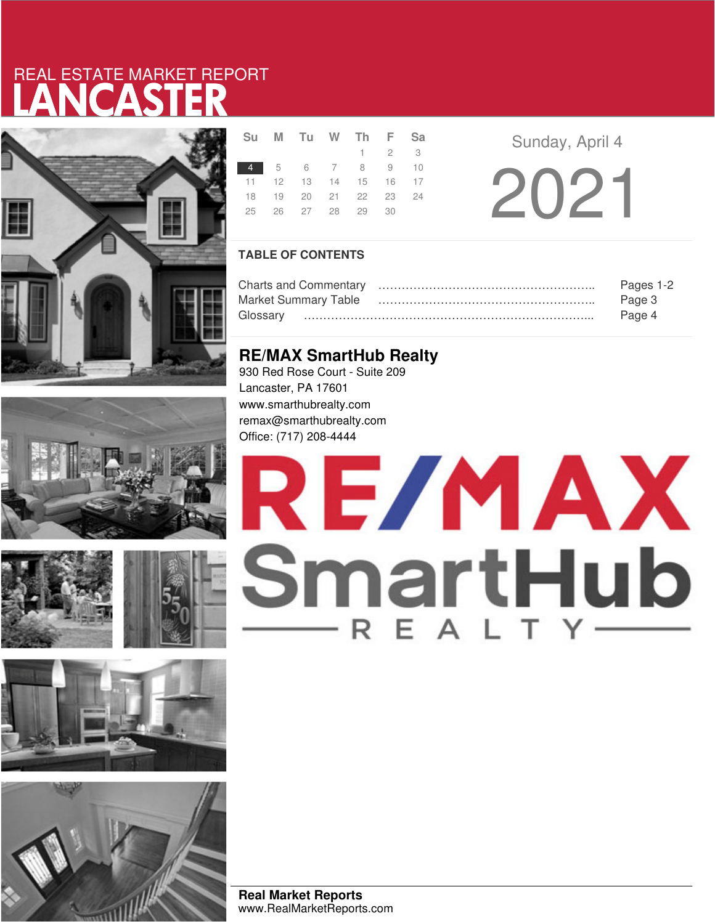# LANCASTER REAL ESTATE MARKET REPORT













|    | Su M Tu W Th F Sa          |  |                     |  |  |
|----|----------------------------|--|---------------------|--|--|
|    |                            |  | $1 \quad 2 \quad 3$ |  |  |
|    | 4 5 6 7 8 9 10             |  |                     |  |  |
|    | 11  12  13  14  15  16  17 |  |                     |  |  |
|    | 18 19 20 21 22 23 24       |  |                     |  |  |
| 25 | 26 27 28 29 30             |  |                     |  |  |
|    |                            |  |                     |  |  |

**Sunday, April 4** 

2021

## **TABLE OF CONTENTS**

|                             | Pages 1-2 |
|-----------------------------|-----------|
| <b>Market Summary Table</b> | Page 3    |
| Glossarv                    | Page 4    |

## **RE/MAX SmartHub Realty**

930 Red Rose Court - Suite 209 Lancaster, PA 17601 www.smarthubrealty.com remax@smarthubrealty.com Office: (717) 208-4444

# RE/MAX SmartHub

**Real Market Reports** www.RealMarketReports.com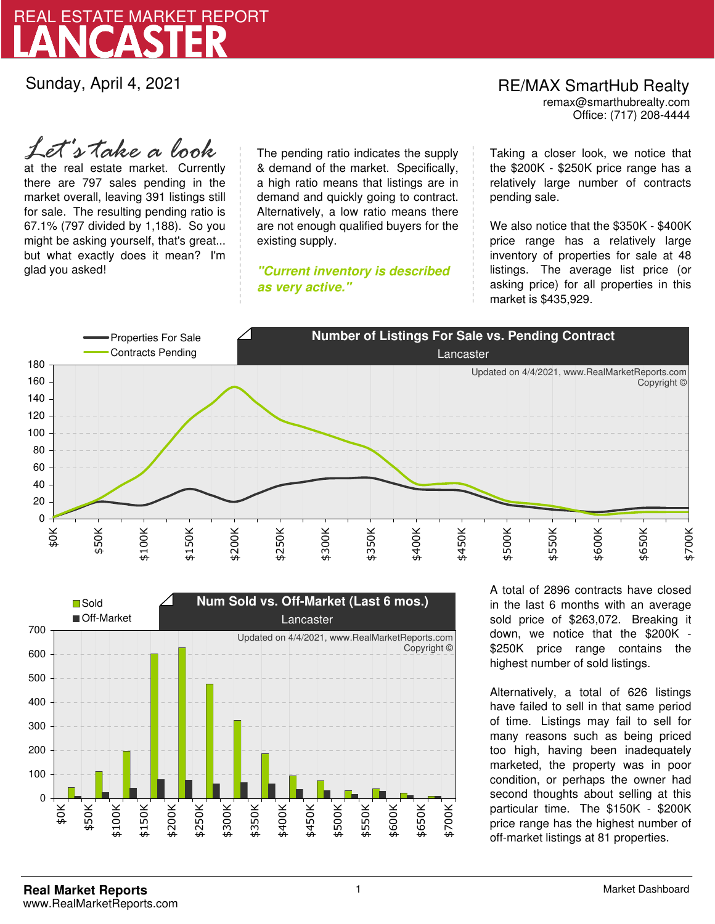

Sunday, April 4, 2021

*Let's take a look*

at the real estate market. Currently there are 797 sales pending in the market overall, leaving 391 listings still for sale. The resulting pending ratio is 67.1% (797 divided by 1,188). So you might be asking yourself, that's great... but what exactly does it mean? I'm glad you asked!

The pending ratio indicates the supply & demand of the market. Specifically, a high ratio means that listings are in demand and quickly going to contract. Alternatively, a low ratio means there are not enough qualified buyers for the existing supply.

**"Current inventory is described as very active."**

Office: (717) 208-4444 RE/MAX SmartHub Realty remax@smarthubrealty.com

Taking a closer look, we notice that the \$200K - \$250K price range has a relatively large number of contracts pending sale.

We also notice that the \$350K - \$400K price range has a relatively large inventory of properties for sale at 48 listings. The average list price (or asking price) for all properties in this market is \$435,929.





A total of 2896 contracts have closed in the last 6 months with an average sold price of \$263,072. Breaking it down, we notice that the \$200K - \$250K price range contains the highest number of sold listings.

Alternatively, a total of 626 listings have failed to sell in that same period of time. Listings may fail to sell for many reasons such as being priced too high, having been inadequately marketed, the property was in poor condition, or perhaps the owner had second thoughts about selling at this particular time. The \$150K - \$200K price range has the highest number of off-market listings at 81 properties.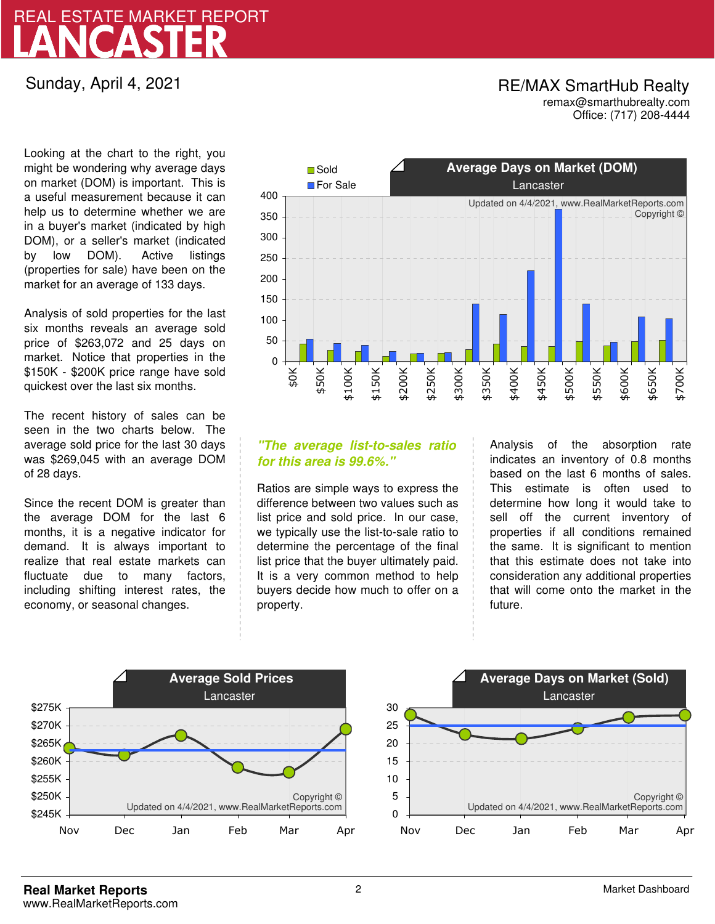## LANCASTER REAL ESTATE MARKET REPORT

Sunday, April 4, 2021

## RE/MAX SmartHub Realty remax@smarthubrealty.com

Office: (717) 208-4444

Looking at the chart to the right, you might be wondering why average days on market (DOM) is important. This is a useful measurement because it can help us to determine whether we are in a buyer's market (indicated by high DOM), or a seller's market (indicated by low DOM). Active listings (properties for sale) have been on the market for an average of 133 days.

Analysis of sold properties for the last six months reveals an average sold price of \$263,072 and 25 days on market. Notice that properties in the \$150K - \$200K price range have sold quickest over the last six months.

The recent history of sales can be seen in the two charts below. The average sold price for the last 30 days was \$269,045 with an average DOM of 28 days.

Since the recent DOM is greater than the average DOM for the last 6 months, it is a negative indicator for demand. It is always important to realize that real estate markets can fluctuate due to many factors, including shifting interest rates, the economy, or seasonal changes.



## **"The average list-to-sales ratio for this area is 99.6%."**

Ratios are simple ways to express the difference between two values such as list price and sold price. In our case, we typically use the list-to-sale ratio to determine the percentage of the final list price that the buyer ultimately paid. It is a very common method to help buyers decide how much to offer on a property.

Analysis of the absorption rate indicates an inventory of 0.8 months based on the last 6 months of sales. This estimate is often used to determine how long it would take to sell off the current inventory of properties if all conditions remained the same. It is significant to mention that this estimate does not take into consideration any additional properties that will come onto the market in the future.



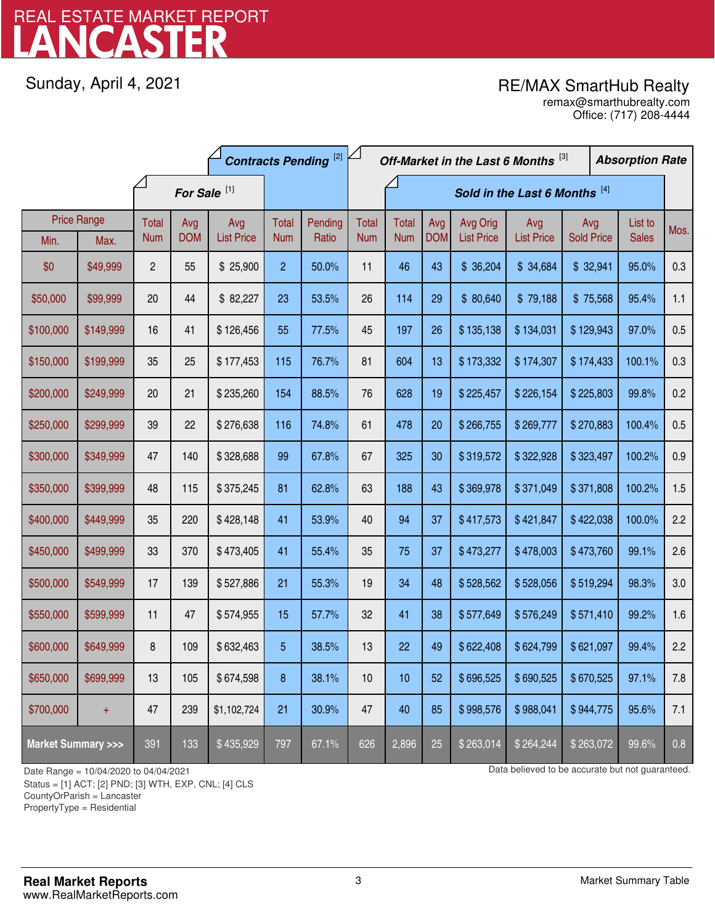# LANCASTER REAL ESTATE MARKET REPORT

Sunday, April 4, 2021

## RE/MAX SmartHub Realty

Office: (717) 208-4444 remax@smarthubrealty.com

|                                    |                    | <b>Contracts Pending [2]</b> |            |                   |                |                               |              | Off-Market in the Last 6 Months [3] |            |                   |                   |                   | <b>Absorption Rate</b> |      |
|------------------------------------|--------------------|------------------------------|------------|-------------------|----------------|-------------------------------|--------------|-------------------------------------|------------|-------------------|-------------------|-------------------|------------------------|------|
|                                    |                    | For Sale <sup>[1]</sup>      |            |                   |                | Sold in the Last 6 Months [4] |              |                                     |            |                   |                   |                   |                        |      |
|                                    | <b>Price Range</b> | Total                        | Avg        | Avg               | Total          | Pending                       | <b>Total</b> | <b>Total</b>                        | Avg        | Avg Orig          | Avg               | Avg               | List to                | Mos. |
| Min.                               | Max.               | <b>Num</b>                   | <b>DOM</b> | <b>List Price</b> | <b>Num</b>     | Ratio                         | <b>Num</b>   | <b>Num</b>                          | <b>DOM</b> | <b>List Price</b> | <b>List Price</b> | <b>Sold Price</b> | <b>Sales</b>           |      |
| \$0                                | \$49,999           | $\overline{c}$               | 55         | \$25,900          | $\overline{2}$ | 50.0%                         | 11           | 46                                  | 43         | \$36,204          | \$34,684          | \$32,941          | 95.0%                  | 0.3  |
| \$50,000                           | \$99,999           | 20                           | 44         | \$82,227          | 23             | 53.5%                         | 26           | 114                                 | 29         | \$80,640          | \$79,188          | \$75,568          | 95.4%                  | 1.1  |
| \$100,000                          | \$149,999          | 16                           | 41         | \$126,456         | 55             | 77.5%                         | 45           | 197                                 | 26         | \$135,138         | \$134,031         | \$129,943         | 97.0%                  | 0.5  |
| \$150,000                          | \$199,999          | 35                           | 25         | \$177,453         | 115            | 76.7%                         | 81           | 604                                 | 13         | \$173,332         | \$174,307         | \$174,433         | 100.1%                 | 0.3  |
| \$200,000                          | \$249,999          | 20                           | 21         | \$235,260         | 154            | 88.5%                         | 76           | 628                                 | 19         | \$225,457         | \$226,154         | \$225,803         | 99.8%                  | 0.2  |
| \$250,000                          | \$299,999          | 39                           | 22         | \$276,638         | 116            | 74.8%                         | 61           | 478                                 | 20         | \$266,755         | \$269,777         | \$270,883         | 100.4%                 | 0.5  |
| \$300,000                          | \$349,999          | 47                           | 140        | \$328,688         | 99             | 67.8%                         | 67           | 325                                 | 30         | \$319,572         | \$322,928         | \$323,497         | 100.2%                 | 0.9  |
| \$350,000                          | \$399,999          | 48                           | 115        | \$375,245         | 81             | 62.8%                         | 63           | 188                                 | 43         | \$369,978         | \$371,049         | \$371,808         | 100.2%                 | 1.5  |
| \$400,000                          | \$449,999          | 35                           | 220        | \$428,148         | 41             | 53.9%                         | 40           | 94                                  | 37         | \$417,573         | \$421,847         | \$422,038         | 100.0%                 | 2.2  |
| \$450,000                          | \$499,999          | 33                           | 370        | \$473,405         | 41             | 55.4%                         | 35           | 75                                  | 37         | \$473,277         | \$478,003         | \$473,760         | 99.1%                  | 2.6  |
| \$500,000                          | \$549,999          | 17                           | 139        | \$527,886         | 21             | 55.3%                         | 19           | 34                                  | 48         | \$528,562         | \$528,056         | \$519,294         | 98.3%                  | 3.0  |
| \$550,000                          | \$599,999          | 11                           | 47         | \$574,955         | 15             | 57.7%                         | 32           | 41                                  | 38         | \$577,649         | \$576,249         | \$571,410         | 99.2%                  | 1.6  |
| \$600,000                          | \$649,999          | 8                            | 109        | \$632,463         | 5              | 38.5%                         | 13           | 22                                  | 49         | \$622,408         | \$624,799         | \$621,097         | 99.4%                  | 2.2  |
| \$650,000                          | \$699,999          | 13                           | 105        | \$674,598         | 8              | 38.1%                         | 10           | 10                                  | 52         | \$696,525         | \$690,525         | \$670,525         | 97.1%                  | 7.8  |
| \$700,000                          | $+$                | 47                           | 239        | \$1,102,724       | 21             | 30.9%                         | 47           | 40                                  | 85         | \$998,576         | \$988,041         | \$944,775         | 95.6%                  | 7.1  |
| <b>Market Summary &gt;&gt;&gt;</b> |                    | 391                          | 133        | \$435,929         | 797            | 67.1%                         | 626          | 2,896                               | 25         | \$263,014         | \$264,244         | \$263,072         | 99.6%                  | 0.8  |

Status = [1] ACT; [2] PND; [3] WTH, EXP, CNL; [4] CLS

CountyOrParish = Lancaster

PropertyType = Residential

1

Date Range = 10/04/2020 to 04/04/2021 Data believed to be accurate but not guaranteed.